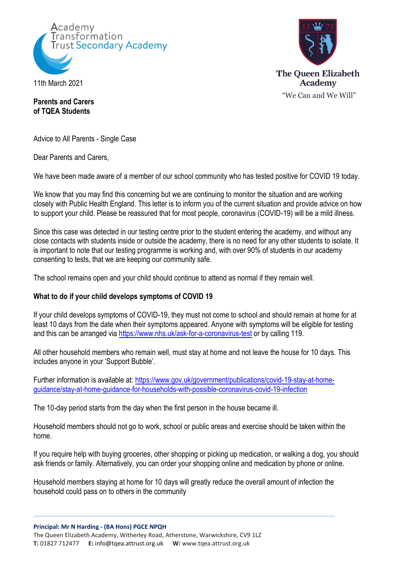

11th March 2021

# **The Oueen Elizabeth Academy** "We Can and We Will"

**Parents and Carers of TQEA Students**

Advice to All Parents - Single Case

Dear Parents and Carers,

We have been made aware of a member of our school community who has tested positive for COVID 19 today.

We know that you may find this concerning but we are continuing to monitor the situation and are working closely with Public Health England. This letter is to inform you of the current situation and provide advice on how to support your child. Please be reassured that for most people, coronavirus (COVID-19) will be a mild illness.

Since this case was detected in our testing centre prior to the student entering the academy, and without any close contacts with students inside or outside the academy, there is no need for any other students to isolate. It is important to note that our testing programme is working and, with over 90% of students in our academy consenting to tests, that we are keeping our community safe.

The school remains open and your child should continue to attend as normal if they remain well.

### **What to do if your child develops symptoms of COVID 19**

If your child develops symptoms of COVID-19, they must not come to school and should remain at home for at least 10 days from the date when their symptoms appeared. Anyone with symptoms will be eligible for testing and this can be arranged via<https://www.nhs.uk/ask-for-a-coronavirus-test> or by calling 119.

All other household members who remain well, must stay at home and not leave the house for 10 days. This includes anyone in your 'Support Bubble'.

Further information is available at: [https://www.gov.uk/government/publications/covid-19-stay-at-home](https://www.gov.uk/government/publications/covid-19-stay-at-home-guidance/stay-at-home-guidance-for-households-with-possible-coronavirus-covid-19-infection)[guidance/stay-at-home-guidance-for-households-with-possible-coronavirus-covid-19-infection](https://www.gov.uk/government/publications/covid-19-stay-at-home-guidance/stay-at-home-guidance-for-households-with-possible-coronavirus-covid-19-infection)

The 10-day period starts from the day when the first person in the house became ill.

Household members should not go to work, school or public areas and exercise should be taken within the home.

If you require help with buying groceries, other shopping or picking up medication, or walking a dog, you should ask friends or family. Alternatively, you can order your shopping online and medication by phone or online.

Household members staying at home for 10 days will greatly reduce the overall amount of infection the household could pass on to others in the community